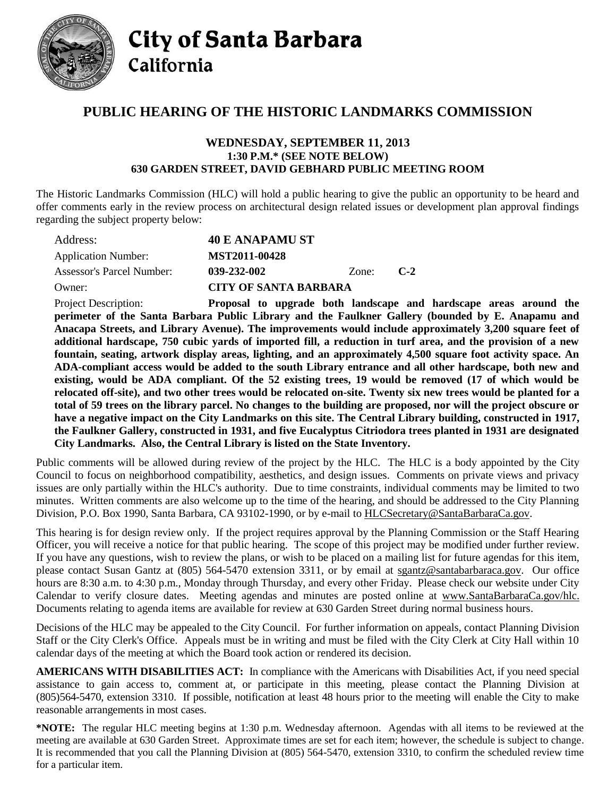

**City of Santa Barbara** California

## **PUBLIC HEARING OF THE HISTORIC LANDMARKS COMMISSION**

## **WEDNESDAY, SEPTEMBER 11, 2013 1:30 P.M.\* (SEE NOTE BELOW) 630 GARDEN STREET, DAVID GEBHARD PUBLIC MEETING ROOM**

The Historic Landmarks Commission (HLC) will hold a public hearing to give the public an opportunity to be heard and offer comments early in the review process on architectural design related issues or development plan approval findings regarding the subject property below:

| Address:                         | <b>40 E ANAPAMU ST</b>       |       |       |
|----------------------------------|------------------------------|-------|-------|
| <b>Application Number:</b>       | MST2011-00428                |       |       |
| <b>Assessor's Parcel Number:</b> | 039-232-002                  | Zone: | $C-2$ |
| Owner:                           | <b>CITY OF SANTA BARBARA</b> |       |       |
|                                  |                              |       |       |

Project Description: **Proposal to upgrade both landscape and hardscape areas around the perimeter of the Santa Barbara Public Library and the Faulkner Gallery (bounded by E. Anapamu and Anacapa Streets, and Library Avenue). The improvements would include approximately 3,200 square feet of additional hardscape, 750 cubic yards of imported fill, a reduction in turf area, and the provision of a new fountain, seating, artwork display areas, lighting, and an approximately 4,500 square foot activity space. An ADA-compliant access would be added to the south Library entrance and all other hardscape, both new and existing, would be ADA compliant. Of the 52 existing trees, 19 would be removed (17 of which would be relocated off-site), and two other trees would be relocated on-site. Twenty six new trees would be planted for a total of 59 trees on the library parcel. No changes to the building are proposed, nor will the project obscure or have a negative impact on the City Landmarks on this site. The Central Library building, constructed in 1917, the Faulkner Gallery, constructed in 1931, and five Eucalyptus Citriodora trees planted in 1931 are designated City Landmarks. Also, the Central Library is listed on the State Inventory.**

Public comments will be allowed during review of the project by the HLC. The HLC is a body appointed by the City Council to focus on neighborhood compatibility, aesthetics, and design issues. Comments on private views and privacy issues are only partially within the HLC's authority. Due to time constraints, individual comments may be limited to two minutes. Written comments are also welcome up to the time of the hearing, and should be addressed to the City Planning Division, P.O. Box 1990, Santa Barbara, CA 93102-1990, or by e-mail to [HLCSecretary@SantaBarbaraCa.gov.](mailto:HLCSecretary@SantaBarbaraCa.gov)

This hearing is for design review only. If the project requires approval by the Planning Commission or the Staff Hearing Officer, you will receive a notice for that public hearing. The scope of this project may be modified under further review. If you have any questions, wish to review the plans, or wish to be placed on a mailing list for future agendas for this item, please contact Susan Gantz at (805) 564-5470 extension 3311, or by email at [sgantz@santabarbaraca.gov.](mailto:sgantz@santabarbaraca.gov) Our office hours are 8:30 a.m. to 4:30 p.m., Monday through Thursday, and every other Friday. Please check our website under City Calendar to verify closure dates. Meeting agendas and minutes are posted online at [www.SantaBarbaraCa.gov/hlc.](http://www.santabarbaraca.gov/hlc) Documents relating to agenda items are available for review at 630 Garden Street during normal business hours.

Decisions of the HLC may be appealed to the City Council. For further information on appeals, contact Planning Division Staff or the City Clerk's Office. Appeals must be in writing and must be filed with the City Clerk at City Hall within 10 calendar days of the meeting at which the Board took action or rendered its decision.

**AMERICANS WITH DISABILITIES ACT:** In compliance with the Americans with Disabilities Act, if you need special assistance to gain access to, comment at, or participate in this meeting, please contact the Planning Division at (805)564-5470, extension 3310. If possible, notification at least 48 hours prior to the meeting will enable the City to make reasonable arrangements in most cases.

**\*NOTE:** The regular HLC meeting begins at 1:30 p.m. Wednesday afternoon. Agendas with all items to be reviewed at the meeting are available at 630 Garden Street. Approximate times are set for each item; however, the schedule is subject to change. It is recommended that you call the Planning Division at (805) 564-5470, extension 3310, to confirm the scheduled review time for a particular item.